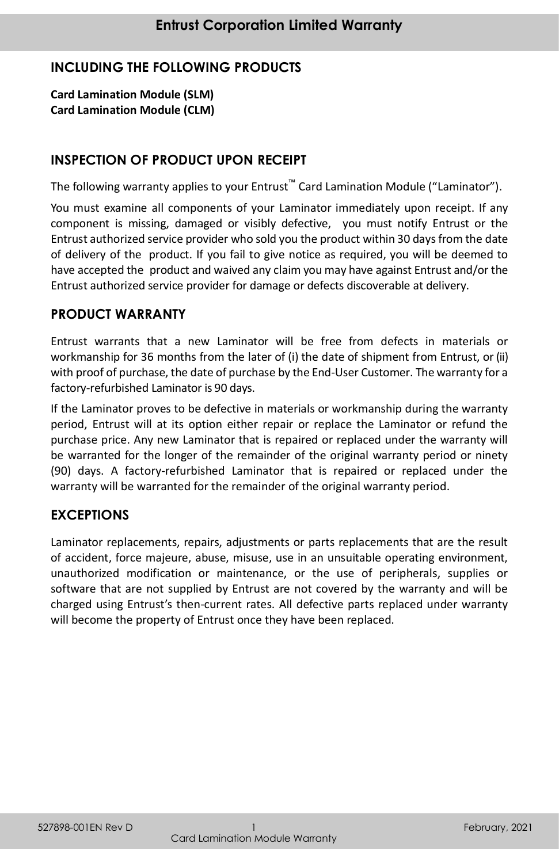# **INCLUDING THE FOLLOWING PRODUCTS**

**Card Lamination Module (SLM) Card Lamination Module (CLM)**

### **INSPECTION OF PRODUCT UPON RECEIPT**

The following warranty applies to your Entrust™ Card Lamination Module ("Laminator").

You must examine all components of your Laminator immediately upon receipt. If any component is missing, damaged or visibly defective, you must notify Entrust or the Entrust authorized service provider who sold you the product within 30 days from the date of delivery of the product. If you fail to give notice as required, you will be deemed to have accepted the product and waived any claim you may have against Entrust and/or the Entrust authorized service provider for damage or defects discoverable at delivery.

### **PRODUCT WARRANTY**

Entrust warrants that a new Laminator will be free from defects in materials or workmanship for 36 months from the later of (i) the date of shipment from Entrust, or (ii) with proof of purchase, the date of purchase by the End-User Customer. The warranty for a factory-refurbished Laminator is 90 days.

If the Laminator proves to be defective in materials or workmanship during the warranty period, Entrust will at its option either repair or replace the Laminator or refund the purchase price. Any new Laminator that is repaired or replaced under the warranty will be warranted for the longer of the remainder of the original warranty period or ninety (90) days. A factory-refurbished Laminator that is repaired or replaced under the warranty will be warranted for the remainder of the original warranty period.

### **EXCEPTIONS**

Laminator replacements, repairs, adjustments or parts replacements that are the result of accident, force majeure, abuse, misuse, use in an unsuitable operating environment, unauthorized modification or maintenance, or the use of peripherals, supplies or software that are not supplied by Entrust are not covered by the warranty and will be charged using Entrust's then-current rates. All defective parts replaced under warranty will become the property of Entrust once they have been replaced.